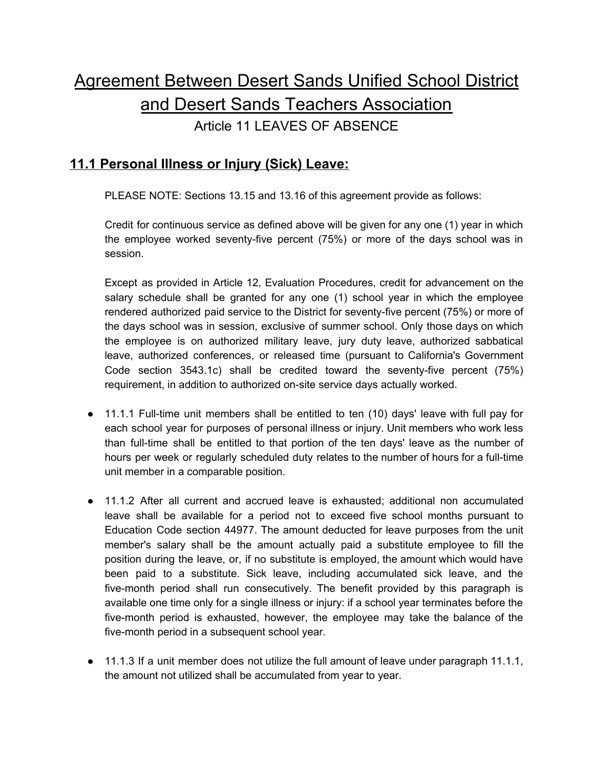# Agreement Between Desert Sands Unified School District and Desert Sands Teachers Association

Article 11 LEAVES OF ABSENCE

# **11.1 Personal Illness or Injury (Sick) Leave:**

PLEASE NOTE: Sections 13.15 and 13.16 of this agreement provide as follows:

Credit for continuous service as defined above will be given for any one (1) year in which the employee worked seventy-five percent (75%) or more of the days school was in session.

Except as provided in Article 12, Evaluation Procedures, credit for advancement on the salary schedule shall be granted for any one (1) school year in which the employee rendered authorized paid service to the District for seventy-five percent (75%) or more of the days school was in session, exclusive of summer school. Only those days on which the employee is on authorized military leave, jury duty leave, authorized sabbatical leave, authorized conferences, or released time (pursuant to California's Government Code section 3543.1c) shall be credited toward the seventy-five percent (75%) requirement, in addition to authorized on-site service days actually worked.

- 11.1.1 Full-time unit members shall be entitled to ten (10) days' leave with full pay for each school year for purposes of personal illness or injury. Unit members who work less than full-time shall be entitled to that portion of the ten days' leave as the number of hours per week or regularly scheduled duty relates to the number of hours for a full-time unit member in a comparable position.
- 11.1.2 After all current and accrued leave is exhausted; additional non accumulated leave shall be available for a period not to exceed five school months pursuant to Education Code section 44977. The amount deducted for leave purposes from the unit member's salary shall be the amount actually paid a substitute employee to fill the position during the leave, or, if no substitute is employed, the amount which would have been paid to a substitute. Sick leave, including accumulated sick leave, and the five-month period shall run consecutively. The benefit provided by this paragraph is available one time only for a single illness or injury: if a school year terminates before the five-month period is exhausted, however, the employee may take the balance of the five-month period in a subsequent school year.
- 11.1.3 If a unit member does not utilize the full amount of leave under paragraph 11.1.1, the amount not utilized shall be accumulated from year to year.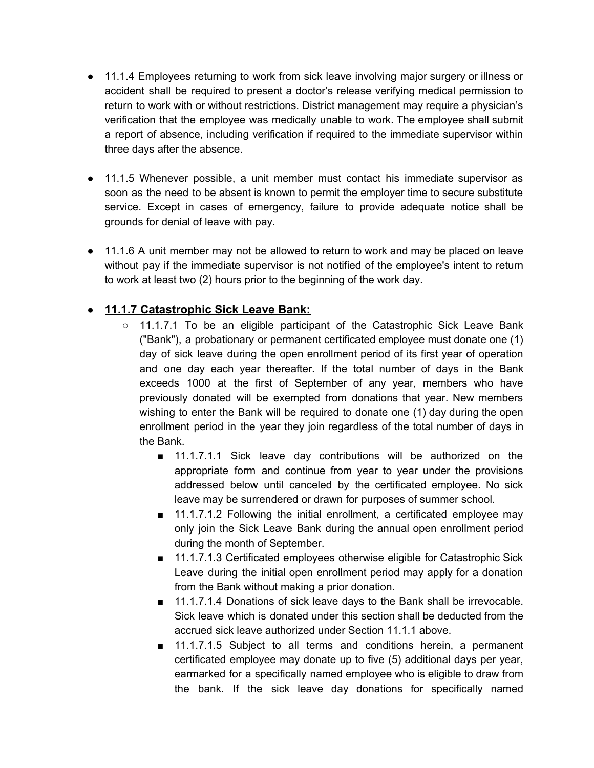- 11.1.4 Employees returning to work from sick leave involving major surgery or illness or accident shall be required to present a doctor's release verifying medical permission to return to work with or without restrictions. District management may require a physician's verification that the employee was medically unable to work. The employee shall submit a report of absence, including verification if required to the immediate supervisor within three days after the absence.
- 11.1.5 Whenever possible, a unit member must contact his immediate supervisor as soon as the need to be absent is known to permit the employer time to secure substitute service. Except in cases of emergency, failure to provide adequate notice shall be grounds for denial of leave with pay.
- 11.1.6 A unit member may not be allowed to return to work and may be placed on leave without pay if the immediate supervisor is not notified of the employee's intent to return to work at least two (2) hours prior to the beginning of the work day.

#### ● **11.1.7 Catastrophic Sick Leave Bank:**

- o 11.1.7.1 To be an eligible participant of the Catastrophic Sick Leave Bank ("Bank"), a probationary or permanent certificated employee must donate one (1) day of sick leave during the open enrollment period of its first year of operation and one day each year thereafter. If the total number of days in the Bank exceeds 1000 at the first of September of any year, members who have previously donated will be exempted from donations that year. New members wishing to enter the Bank will be required to donate one (1) day during the open enrollment period in the year they join regardless of the total number of days in the Bank.
	- 11.1.7.1.1 Sick leave day contributions will be authorized on the appropriate form and continue from year to year under the provisions addressed below until canceled by the certificated employee. No sick leave may be surrendered or drawn for purposes of summer school.
	- 11.1.7.1.2 Following the initial enrollment, a certificated employee may only join the Sick Leave Bank during the annual open enrollment period during the month of September.
	- 11.1.7.1.3 Certificated employees otherwise eligible for Catastrophic Sick Leave during the initial open enrollment period may apply for a donation from the Bank without making a prior donation.
	- 11.1.7.1.4 Donations of sick leave days to the Bank shall be irrevocable. Sick leave which is donated under this section shall be deducted from the accrued sick leave authorized under Section 11.1.1 above.
	- 11.1.7.1.5 Subject to all terms and conditions herein, a permanent certificated employee may donate up to five (5) additional days per year, earmarked for a specifically named employee who is eligible to draw from the bank. If the sick leave day donations for specifically named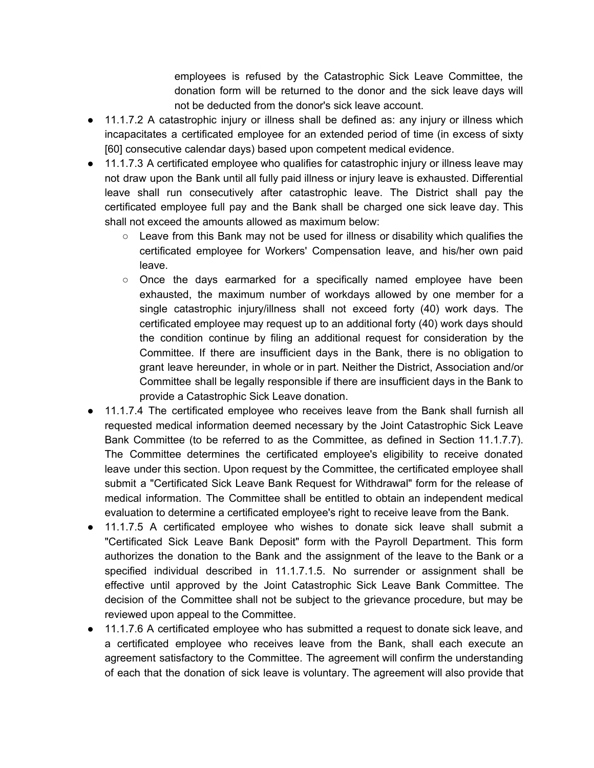employees is refused by the Catastrophic Sick Leave Committee, the donation form will be returned to the donor and the sick leave days will not be deducted from the donor's sick leave account.

- 11.1.7.2 A catastrophic injury or illness shall be defined as: any injury or illness which incapacitates a certificated employee for an extended period of time (in excess of sixty [60] consecutive calendar days) based upon competent medical evidence.
- 11.1.7.3 A certificated employee who qualifies for catastrophic injury or illness leave may not draw upon the Bank until all fully paid illness or injury leave is exhausted. Differential leave shall run consecutively after catastrophic leave. The District shall pay the certificated employee full pay and the Bank shall be charged one sick leave day. This shall not exceed the amounts allowed as maximum below:
	- $\circ$  Leave from this Bank may not be used for illness or disability which qualifies the certificated employee for Workers' Compensation leave, and his/her own paid leave.
	- $\circ$  Once the days earmarked for a specifically named employee have been exhausted, the maximum number of workdays allowed by one member for a single catastrophic injury/illness shall not exceed forty (40) work days. The certificated employee may request up to an additional forty (40) work days should the condition continue by filing an additional request for consideration by the Committee. If there are insufficient days in the Bank, there is no obligation to grant leave hereunder, in whole or in part. Neither the District, Association and/or Committee shall be legally responsible if there are insufficient days in the Bank to provide a Catastrophic Sick Leave donation.
- 11.1.7.4 The certificated employee who receives leave from the Bank shall furnish all requested medical information deemed necessary by the Joint Catastrophic Sick Leave Bank Committee (to be referred to as the Committee, as defined in Section 11.1.7.7). The Committee determines the certificated employee's eligibility to receive donated leave under this section. Upon request by the Committee, the certificated employee shall submit a "Certificated Sick Leave Bank Request for Withdrawal" form for the release of medical information. The Committee shall be entitled to obtain an independent medical evaluation to determine a certificated employee's right to receive leave from the Bank.
- 11.1.7.5 A certificated employee who wishes to donate sick leave shall submit a "Certificated Sick Leave Bank Deposit" form with the Payroll Department. This form authorizes the donation to the Bank and the assignment of the leave to the Bank or a specified individual described in 11.1.7.1.5. No surrender or assignment shall be effective until approved by the Joint Catastrophic Sick Leave Bank Committee. The decision of the Committee shall not be subject to the grievance procedure, but may be reviewed upon appeal to the Committee.
- 11.1.7.6 A certificated employee who has submitted a request to donate sick leave, and a certificated employee who receives leave from the Bank, shall each execute an agreement satisfactory to the Committee. The agreement will confirm the understanding of each that the donation of sick leave is voluntary. The agreement will also provide that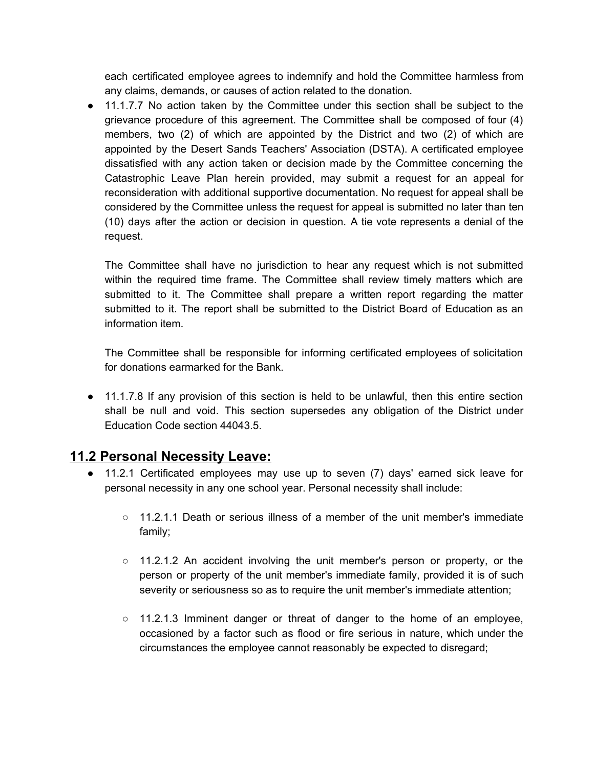each certificated employee agrees to indemnify and hold the Committee harmless from any claims, demands, or causes of action related to the donation.

• 11.1.7.7 No action taken by the Committee under this section shall be subject to the grievance procedure of this agreement. The Committee shall be composed of four (4) members, two (2) of which are appointed by the District and two (2) of which are appointed by the Desert Sands Teachers' Association (DSTA). A certificated employee dissatisfied with any action taken or decision made by the Committee concerning the Catastrophic Leave Plan herein provided, may submit a request for an appeal for reconsideration with additional supportive documentation. No request for appeal shall be considered by the Committee unless the request for appeal is submitted no later than ten (10) days after the action or decision in question. A tie vote represents a denial of the request.

The Committee shall have no jurisdiction to hear any request which is not submitted within the required time frame. The Committee shall review timely matters which are submitted to it. The Committee shall prepare a written report regarding the matter submitted to it. The report shall be submitted to the District Board of Education as an information item.

The Committee shall be responsible for informing certificated employees of solicitation for donations earmarked for the Bank.

● 11.1.7.8 If any provision of this section is held to be unlawful, then this entire section shall be null and void. This section supersedes any obligation of the District under Education Code section 44043.5.

# **11.2 Personal Necessity Leave:**

- 11.2.1 Certificated employees may use up to seven (7) days' earned sick leave for personal necessity in any one school year. Personal necessity shall include:
	- $\circ$  11.2.1.1 Death or serious illness of a member of the unit member's immediate family;
	- $\circ$  11.2.1.2 An accident involving the unit member's person or property, or the person or property of the unit member's immediate family, provided it is of such severity or seriousness so as to require the unit member's immediate attention;
	- 11.2.1.3 Imminent danger or threat of danger to the home of an employee, occasioned by a factor such as flood or fire serious in nature, which under the circumstances the employee cannot reasonably be expected to disregard;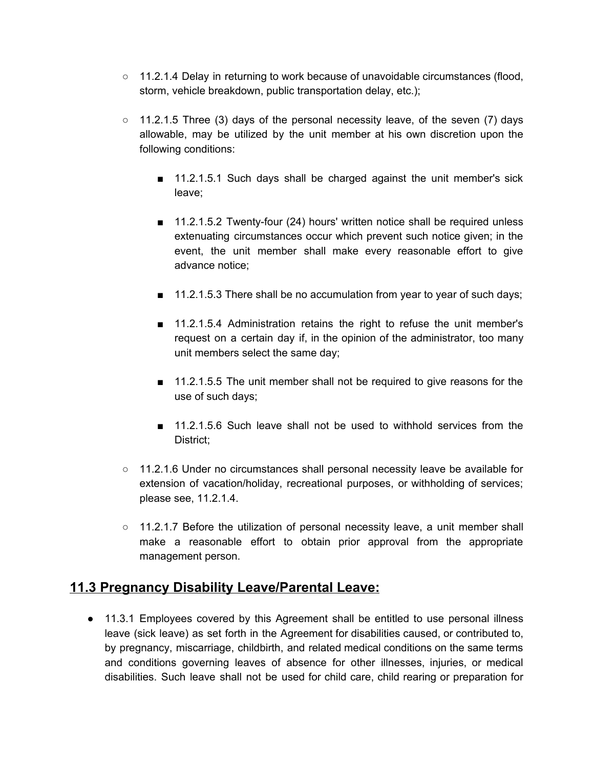- $\circ$  11.2.1.4 Delay in returning to work because of unavoidable circumstances (flood, storm, vehicle breakdown, public transportation delay, etc.);
- $\circ$  11.2.1.5 Three (3) days of the personal necessity leave, of the seven (7) days allowable, may be utilized by the unit member at his own discretion upon the following conditions:
	- 11.2.1.5.1 Such days shall be charged against the unit member's sick leave;
	- 11.2.1.5.2 Twenty-four (24) hours' written notice shall be required unless extenuating circumstances occur which prevent such notice given; in the event, the unit member shall make every reasonable effort to give advance notice;
	- 11.2.1.5.3 There shall be no accumulation from year to year of such days;
	- 11.2.1.5.4 Administration retains the right to refuse the unit member's request on a certain day if, in the opinion of the administrator, too many unit members select the same day;
	- 11.2.1.5.5 The unit member shall not be required to give reasons for the use of such days;
	- 11.2.1.5.6 Such leave shall not be used to withhold services from the District;
- 11.2.1.6 Under no circumstances shall personal necessity leave be available for extension of vacation/holiday, recreational purposes, or withholding of services; please see, 11.2.1.4.
- 11.2.1.7 Before the utilization of personal necessity leave, a unit member shall make a reasonable effort to obtain prior approval from the appropriate management person.

# **11.3 Pregnancy Disability Leave/Parental Leave:**

● 11.3.1 Employees covered by this Agreement shall be entitled to use personal illness leave (sick leave) as set forth in the Agreement for disabilities caused, or contributed to, by pregnancy, miscarriage, childbirth, and related medical conditions on the same terms and conditions governing leaves of absence for other illnesses, injuries, or medical disabilities. Such leave shall not be used for child care, child rearing or preparation for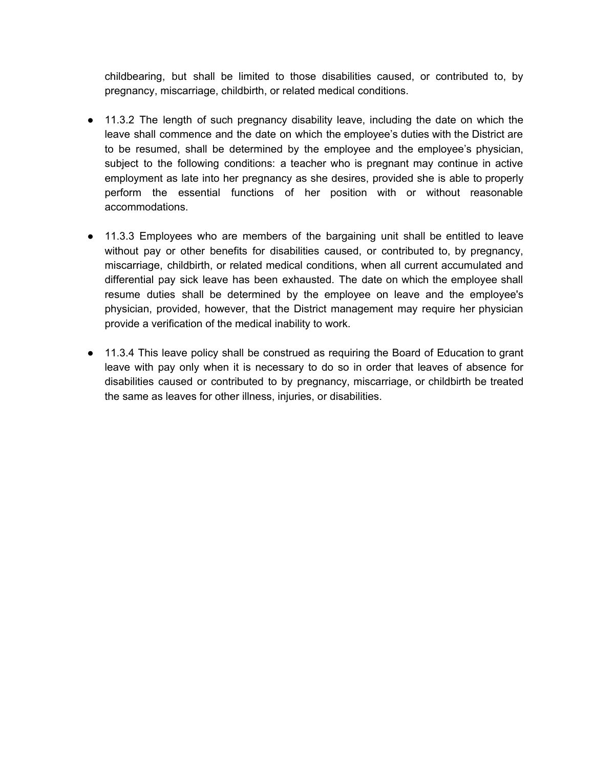childbearing, but shall be limited to those disabilities caused, or contributed to, by pregnancy, miscarriage, childbirth, or related medical conditions.

- 11.3.2 The length of such pregnancy disability leave, including the date on which the leave shall commence and the date on which the employee's duties with the District are to be resumed, shall be determined by the employee and the employee's physician, subject to the following conditions: a teacher who is pregnant may continue in active employment as late into her pregnancy as she desires, provided she is able to properly perform the essential functions of her position with or without reasonable accommodations.
- 11.3.3 Employees who are members of the bargaining unit shall be entitled to leave without pay or other benefits for disabilities caused, or contributed to, by pregnancy, miscarriage, childbirth, or related medical conditions, when all current accumulated and differential pay sick leave has been exhausted. The date on which the employee shall resume duties shall be determined by the employee on leave and the employee's physician, provided, however, that the District management may require her physician provide a verification of the medical inability to work.
- 11.3.4 This leave policy shall be construed as requiring the Board of Education to grant leave with pay only when it is necessary to do so in order that leaves of absence for disabilities caused or contributed to by pregnancy, miscarriage, or childbirth be treated the same as leaves for other illness, injuries, or disabilities.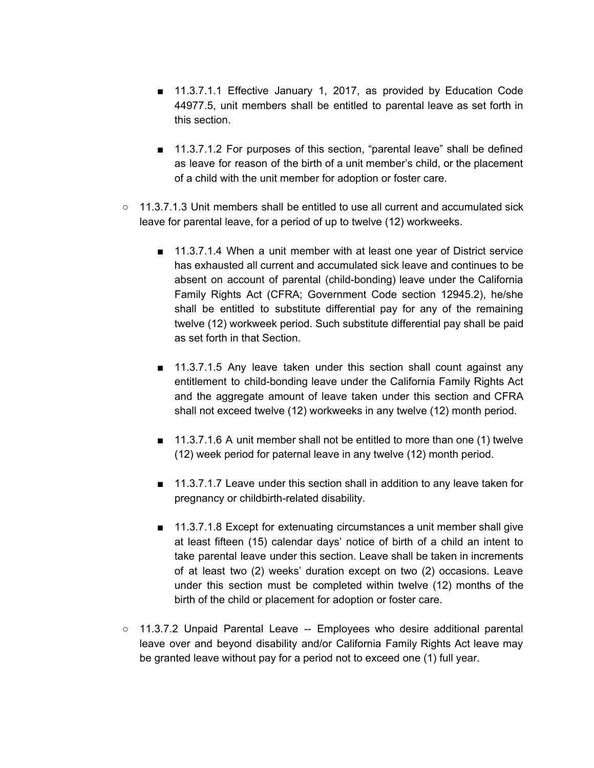- 11.3.7.1.1 Effective January 1, 2017, as provided by Education Code 44977.5, unit members shall be entitled to parental leave as set forth in this section.
- 11.3.7.1.2 For purposes of this section, "parental leave" shall be defined as leave for reason of the birth of a unit member's child, or the placement of a child with the unit member for adoption or foster care.
- $\circ$  11.3.7.1.3 Unit members shall be entitled to use all current and accumulated sick leave for parental leave, for a period of up to twelve (12) workweeks.
	- 11.3.7.1.4 When a unit member with at least one year of District service has exhausted all current and accumulated sick leave and continues to be absent on account of parental (child-bonding) leave under the California Family Rights Act (CFRA; Government Code section 12945.2), he/she shall be entitled to substitute differential pay for any of the remaining twelve (12) workweek period. Such substitute differential pay shall be paid as set forth in that Section.
	- 11.3.7.1.5 Any leave taken under this section shall count against any entitlement to child-bonding leave under the California Family Rights Act and the aggregate amount of leave taken under this section and CFRA shall not exceed twelve (12) workweeks in any twelve (12) month period.
	- 11.3.7.1.6 A unit member shall not be entitled to more than one (1) twelve (12) week period for paternal leave in any twelve (12) month period.
	- 11.3.7.1.7 Leave under this section shall in addition to any leave taken for pregnancy or childbirth-related disability.
	- 11.3.7.1.8 Except for extenuating circumstances a unit member shall give at least fifteen (15) calendar days' notice of birth of a child an intent to take parental leave under this section. Leave shall be taken in increments of at least two (2) weeks' duration except on two (2) occasions. Leave under this section must be completed within twelve (12) months of the birth of the child or placement for adoption or foster care.
- 11.3.7.2 Unpaid Parental Leave -- Employees who desire additional parental leave over and beyond disability and/or California Family Rights Act leave may be granted leave without pay for a period not to exceed one (1) full year.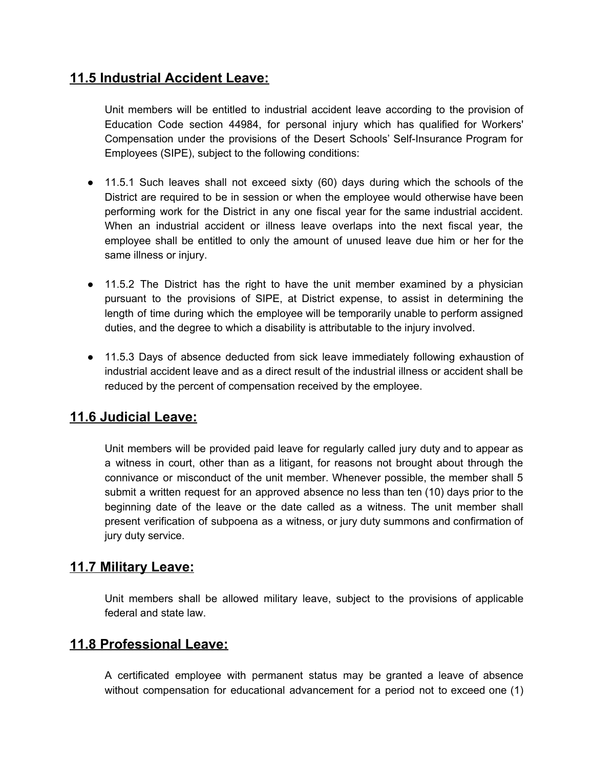# **11.5 Industrial Accident Leave:**

Unit members will be entitled to industrial accident leave according to the provision of Education Code section 44984, for personal injury which has qualified for Workers' Compensation under the provisions of the Desert Schools' Self-Insurance Program for Employees (SIPE), subject to the following conditions:

- 11.5.1 Such leaves shall not exceed sixty (60) days during which the schools of the District are required to be in session or when the employee would otherwise have been performing work for the District in any one fiscal year for the same industrial accident. When an industrial accident or illness leave overlaps into the next fiscal year, the employee shall be entitled to only the amount of unused leave due him or her for the same illness or injury.
- 11.5.2 The District has the right to have the unit member examined by a physician pursuant to the provisions of SIPE, at District expense, to assist in determining the length of time during which the employee will be temporarily unable to perform assigned duties, and the degree to which a disability is attributable to the injury involved.
- 11.5.3 Days of absence deducted from sick leave immediately following exhaustion of industrial accident leave and as a direct result of the industrial illness or accident shall be reduced by the percent of compensation received by the employee.

# **11.6 Judicial Leave:**

Unit members will be provided paid leave for regularly called jury duty and to appear as a witness in court, other than as a litigant, for reasons not brought about through the connivance or misconduct of the unit member. Whenever possible, the member shall 5 submit a written request for an approved absence no less than ten (10) days prior to the beginning date of the leave or the date called as a witness. The unit member shall present verification of subpoena as a witness, or jury duty summons and confirmation of jury duty service.

# **11.7 Military Leave:**

Unit members shall be allowed military leave, subject to the provisions of applicable federal and state law.

## **11.8 Professional Leave:**

A certificated employee with permanent status may be granted a leave of absence without compensation for educational advancement for a period not to exceed one (1)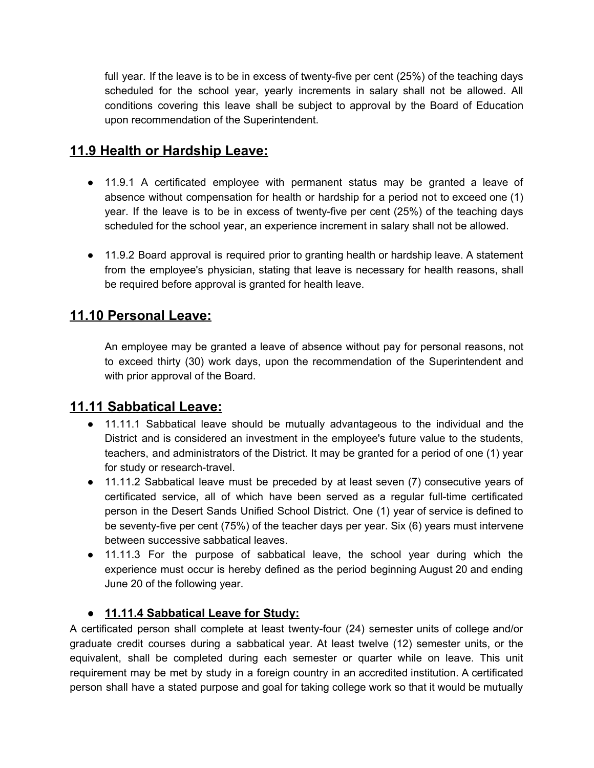full year. If the leave is to be in excess of twenty-five per cent (25%) of the teaching days scheduled for the school year, yearly increments in salary shall not be allowed. All conditions covering this leave shall be subject to approval by the Board of Education upon recommendation of the Superintendent.

# **11.9 Health or Hardship Leave:**

- 11.9.1 A certificated employee with permanent status may be granted a leave of absence without compensation for health or hardship for a period not to exceed one (1) year. If the leave is to be in excess of twenty-five per cent (25%) of the teaching days scheduled for the school year, an experience increment in salary shall not be allowed.
- 11.9.2 Board approval is required prior to granting health or hardship leave. A statement from the employee's physician, stating that leave is necessary for health reasons, shall be required before approval is granted for health leave.

# **11.10 Personal Leave:**

An employee may be granted a leave of absence without pay for personal reasons, not to exceed thirty (30) work days, upon the recommendation of the Superintendent and with prior approval of the Board.

# **11.11 Sabbatical Leave:**

- 11.11.1 Sabbatical leave should be mutually advantageous to the individual and the District and is considered an investment in the employee's future value to the students, teachers, and administrators of the District. It may be granted for a period of one (1) year for study or research-travel.
- 11.11.2 Sabbatical leave must be preceded by at least seven (7) consecutive years of certificated service, all of which have been served as a regular full-time certificated person in the Desert Sands Unified School District. One (1) year of service is defined to be seventy-five per cent (75%) of the teacher days per year. Six (6) years must intervene between successive sabbatical leaves.
- 11.11.3 For the purpose of sabbatical leave, the school year during which the experience must occur is hereby defined as the period beginning August 20 and ending June 20 of the following year.

#### **● 11.11.4 Sabbatical Leave for Study:**

A certificated person shall complete at least twenty-four (24) semester units of college and/or graduate credit courses during a sabbatical year. At least twelve (12) semester units, or the equivalent, shall be completed during each semester or quarter while on leave. This unit requirement may be met by study in a foreign country in an accredited institution. A certificated person shall have a stated purpose and goal for taking college work so that it would be mutually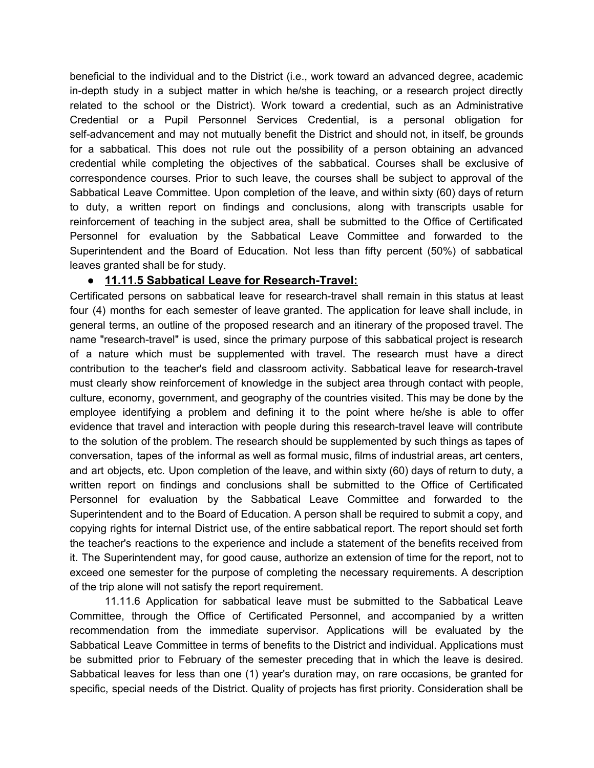beneficial to the individual and to the District (i.e., work toward an advanced degree, academic in-depth study in a subject matter in which he/she is teaching, or a research project directly related to the school or the District). Work toward a credential, such as an Administrative Credential or a Pupil Personnel Services Credential, is a personal obligation for self-advancement and may not mutually benefit the District and should not, in itself, be grounds for a sabbatical. This does not rule out the possibility of a person obtaining an advanced credential while completing the objectives of the sabbatical. Courses shall be exclusive of correspondence courses. Prior to such leave, the courses shall be subject to approval of the Sabbatical Leave Committee. Upon completion of the leave, and within sixty (60) days of return to duty, a written report on findings and conclusions, along with transcripts usable for reinforcement of teaching in the subject area, shall be submitted to the Office of Certificated Personnel for evaluation by the Sabbatical Leave Committee and forwarded to the Superintendent and the Board of Education. Not less than fifty percent (50%) of sabbatical leaves granted shall be for study.

#### **● 11.11.5 Sabbatical Leave for Research-Travel:**

Certificated persons on sabbatical leave for research-travel shall remain in this status at least four (4) months for each semester of leave granted. The application for leave shall include, in general terms, an outline of the proposed research and an itinerary of the proposed travel. The name "research-travel" is used, since the primary purpose of this sabbatical project is research of a nature which must be supplemented with travel. The research must have a direct contribution to the teacher's field and classroom activity. Sabbatical leave for research-travel must clearly show reinforcement of knowledge in the subject area through contact with people, culture, economy, government, and geography of the countries visited. This may be done by the employee identifying a problem and defining it to the point where he/she is able to offer evidence that travel and interaction with people during this research-travel leave will contribute to the solution of the problem. The research should be supplemented by such things as tapes of conversation, tapes of the informal as well as formal music, films of industrial areas, art centers, and art objects, etc. Upon completion of the leave, and within sixty (60) days of return to duty, a written report on findings and conclusions shall be submitted to the Office of Certificated Personnel for evaluation by the Sabbatical Leave Committee and forwarded to the Superintendent and to the Board of Education. A person shall be required to submit a copy, and copying rights for internal District use, of the entire sabbatical report. The report should set forth the teacher's reactions to the experience and include a statement of the benefits received from it. The Superintendent may, for good cause, authorize an extension of time for the report, not to exceed one semester for the purpose of completing the necessary requirements. A description of the trip alone will not satisfy the report requirement.

11.11.6 Application for sabbatical leave must be submitted to the Sabbatical Leave Committee, through the Office of Certificated Personnel, and accompanied by a written recommendation from the immediate supervisor. Applications will be evaluated by the Sabbatical Leave Committee in terms of benefits to the District and individual. Applications must be submitted prior to February of the semester preceding that in which the leave is desired. Sabbatical leaves for less than one (1) year's duration may, on rare occasions, be granted for specific, special needs of the District. Quality of projects has first priority. Consideration shall be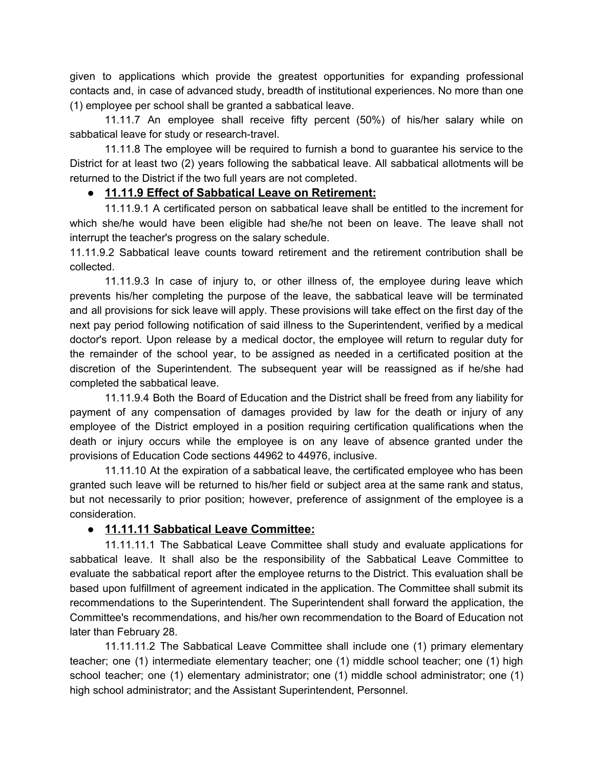given to applications which provide the greatest opportunities for expanding professional contacts and, in case of advanced study, breadth of institutional experiences. No more than one (1) employee per school shall be granted a sabbatical leave.

11.11.7 An employee shall receive fifty percent (50%) of his/her salary while on sabbatical leave for study or research-travel.

11.11.8 The employee will be required to furnish a bond to guarantee his service to the District for at least two (2) years following the sabbatical leave. All sabbatical allotments will be returned to the District if the two full years are not completed.

#### **● 11.11.9 Effect of Sabbatical Leave on Retirement:**

11.11.9.1 A certificated person on sabbatical leave shall be entitled to the increment for which she/he would have been eligible had she/he not been on leave. The leave shall not interrupt the teacher's progress on the salary schedule.

11.11.9.2 Sabbatical leave counts toward retirement and the retirement contribution shall be collected.

11.11.9.3 In case of injury to, or other illness of, the employee during leave which prevents his/her completing the purpose of the leave, the sabbatical leave will be terminated and all provisions for sick leave will apply. These provisions will take effect on the first day of the next pay period following notification of said illness to the Superintendent, verified by a medical doctor's report. Upon release by a medical doctor, the employee will return to regular duty for the remainder of the school year, to be assigned as needed in a certificated position at the discretion of the Superintendent. The subsequent year will be reassigned as if he/she had completed the sabbatical leave.

11.11.9.4 Both the Board of Education and the District shall be freed from any liability for payment of any compensation of damages provided by law for the death or injury of any employee of the District employed in a position requiring certification qualifications when the death or injury occurs while the employee is on any leave of absence granted under the provisions of Education Code sections 44962 to 44976, inclusive.

11.11.10 At the expiration of a sabbatical leave, the certificated employee who has been granted such leave will be returned to his/her field or subject area at the same rank and status, but not necessarily to prior position; however, preference of assignment of the employee is a consideration.

#### **● 11.11.11 Sabbatical Leave Committee:**

11.11.11.1 The Sabbatical Leave Committee shall study and evaluate applications for sabbatical leave. It shall also be the responsibility of the Sabbatical Leave Committee to evaluate the sabbatical report after the employee returns to the District. This evaluation shall be based upon fulfillment of agreement indicated in the application. The Committee shall submit its recommendations to the Superintendent. The Superintendent shall forward the application, the Committee's recommendations, and his/her own recommendation to the Board of Education not later than February 28.

11.11.11.2 The Sabbatical Leave Committee shall include one (1) primary elementary teacher; one (1) intermediate elementary teacher; one (1) middle school teacher; one (1) high school teacher; one (1) elementary administrator; one (1) middle school administrator; one (1) high school administrator; and the Assistant Superintendent, Personnel.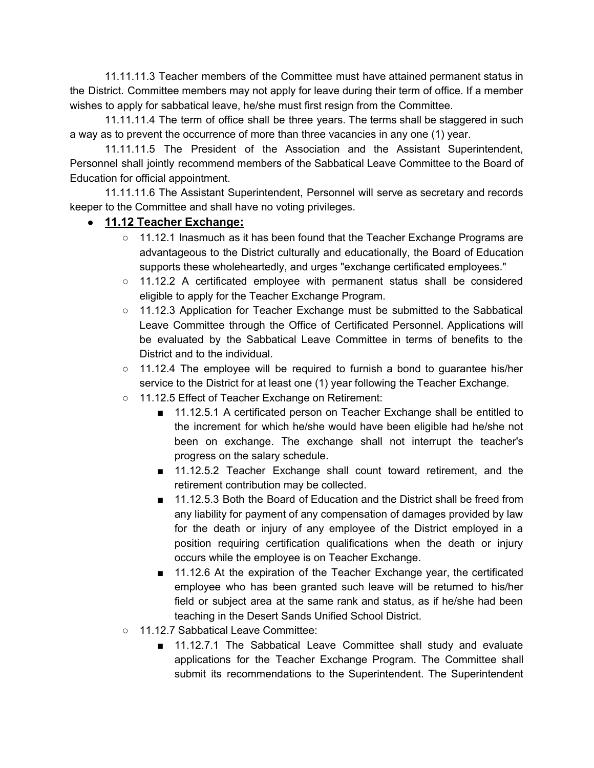11.11.11.3 Teacher members of the Committee must have attained permanent status in the District. Committee members may not apply for leave during their term of office. If a member wishes to apply for sabbatical leave, he/she must first resign from the Committee.

11.11.11.4 The term of office shall be three years. The terms shall be staggered in such a way as to prevent the occurrence of more than three vacancies in any one (1) year.

11.11.11.5 The President of the Association and the Assistant Superintendent, Personnel shall jointly recommend members of the Sabbatical Leave Committee to the Board of Education for official appointment.

11.11.11.6 The Assistant Superintendent, Personnel will serve as secretary and records keeper to the Committee and shall have no voting privileges.

#### ● **11.12 Teacher Exchange:**

- $\circ$  11.12.1 Inasmuch as it has been found that the Teacher Exchange Programs are advantageous to the District culturally and educationally, the Board of Education supports these wholeheartedly, and urges "exchange certificated employees."
- 11.12.2 A certificated employee with permanent status shall be considered eligible to apply for the Teacher Exchange Program.
- 11.12.3 Application for Teacher Exchange must be submitted to the Sabbatical Leave Committee through the Office of Certificated Personnel. Applications will be evaluated by the Sabbatical Leave Committee in terms of benefits to the District and to the individual.
- $\circ$  11.12.4 The employee will be required to furnish a bond to quarantee his/her service to the District for at least one (1) year following the Teacher Exchange.
- 11.12.5 Effect of Teacher Exchange on Retirement:
	- 11.12.5.1 A certificated person on Teacher Exchange shall be entitled to the increment for which he/she would have been eligible had he/she not been on exchange. The exchange shall not interrupt the teacher's progress on the salary schedule.
	- 11.12.5.2 Teacher Exchange shall count toward retirement, and the retirement contribution may be collected.
	- 11.12.5.3 Both the Board of Education and the District shall be freed from any liability for payment of any compensation of damages provided by law for the death or injury of any employee of the District employed in a position requiring certification qualifications when the death or injury occurs while the employee is on Teacher Exchange.
	- 11.12.6 At the expiration of the Teacher Exchange year, the certificated employee who has been granted such leave will be returned to his/her field or subject area at the same rank and status, as if he/she had been teaching in the Desert Sands Unified School District.
- 11.12.7 Sabbatical Leave Committee:
	- 11.12.7.1 The Sabbatical Leave Committee shall study and evaluate applications for the Teacher Exchange Program. The Committee shall submit its recommendations to the Superintendent. The Superintendent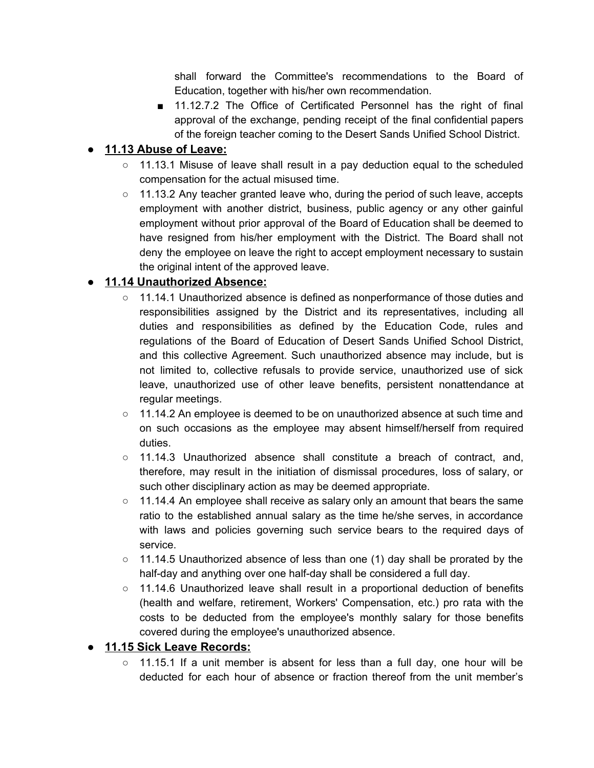shall forward the Committee's recommendations to the Board of Education, together with his/her own recommendation.

■ 11.12.7.2 The Office of Certificated Personnel has the right of final approval of the exchange, pending receipt of the final confidential papers of the foreign teacher coming to the Desert Sands Unified School District.

### **● 11.13 Abuse of Leave:**

- 11.13.1 Misuse of leave shall result in a pay deduction equal to the scheduled compensation for the actual misused time.
- $\circ$  11.13.2 Any teacher granted leave who, during the period of such leave, accepts employment with another district, business, public agency or any other gainful employment without prior approval of the Board of Education shall be deemed to have resigned from his/her employment with the District. The Board shall not deny the employee on leave the right to accept employment necessary to sustain the original intent of the approved leave.

#### **● 11.14 Unauthorized Absence:**

- 11.14.1 Unauthorized absence is defined as nonperformance of those duties and responsibilities assigned by the District and its representatives, including all duties and responsibilities as defined by the Education Code, rules and regulations of the Board of Education of Desert Sands Unified School District, and this collective Agreement. Such unauthorized absence may include, but is not limited to, collective refusals to provide service, unauthorized use of sick leave, unauthorized use of other leave benefits, persistent nonattendance at regular meetings.
- 11.14.2 An employee is deemed to be on unauthorized absence at such time and on such occasions as the employee may absent himself/herself from required duties.
- $\circ$  11.14.3 Unauthorized absence shall constitute a breach of contract, and, therefore, may result in the initiation of dismissal procedures, loss of salary, or such other disciplinary action as may be deemed appropriate.
- 11.14.4 An employee shall receive as salary only an amount that bears the same ratio to the established annual salary as the time he/she serves, in accordance with laws and policies governing such service bears to the required days of service.
- 11.14.5 Unauthorized absence of less than one (1) day shall be prorated by the half-day and anything over one half-day shall be considered a full day.
- 11.14.6 Unauthorized leave shall result in a proportional deduction of benefits (health and welfare, retirement, Workers' Compensation, etc.) pro rata with the costs to be deducted from the employee's monthly salary for those benefits covered during the employee's unauthorized absence.

#### **● 11.15 Sick Leave Records:**

 $\circ$  11.15.1 If a unit member is absent for less than a full day, one hour will be deducted for each hour of absence or fraction thereof from the unit member's